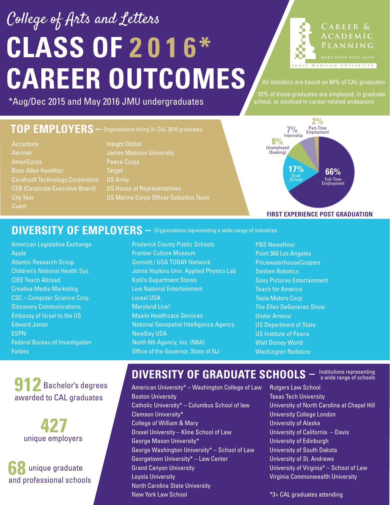# **CLASS OF 2 0 1 6\* CAREER OUTCOMES** College of Arts and Letters

\*Aug/Dec 2015 and May 2016 JMU undergraduates

#### **TOP EMPLOYERS –** Organizations hiring 3+ CAL 2016 graduates

- Accenture Aerotek AmeriCorps Booz Allen Hamilton Carahsoft Technology Corporation CEB (Corporate Executive Board) City Year **Cvent**
- Insight Global James Madison University Peace Corps **Target** US Army US House of Representatives US Marine Corps Officer Selection Team



All statistics are based on 88% of CAL graduates

 92% of these graduates are employed, in graduate school, or involved in career-related endeavors



#### DIVERSITY OF EMPLOYERS  $-$  Organizations representing a wide range of industries

American Legislative Exchange Apple Atlantic Research Group Children's National Health Sys. CIEE Teach Abroad Creative Media Marketing CSC – Computer Science Corp. Discovery Communications Embassy of Israel to the US Edward Jones ESPN Federal Bureau of Investigation Forbes

Frederick County Public Schools Frontier Culture Museum Gannett / USA TODAY Network Johns Hopkins Univ. Applied Physics Lab Kohl's Department Stores Live National Entertainment Loreal USA Maryland Live! Maxim Healthcare Services National Geospatial Intelligence Agency NewDay USA North 6th Agency, Inc. (N6A) Office of the Governor, State of NJ

PBS NewsHour Point 360 Los Angeles PricewaterhouseCoopers Sentien Robotics Sony Pictures Entertainment Teach for America Tesla Motors Corp. The Ellen DeGeneres Show Under Armour US Department of State US Institute of Peace Walt Disney World Washington Redskins

### **912** Bachelor's degrees awarded to CAL graduates

**427** unique employers

**68** unique graduate and professional schools

#### **DIVERSITY OF GRADUATE SCHOOLS**  $-$  lnstitutions representing

American University\* – Washington College of Law Boston University Catholic University\* – Columbus School of law Clemson University\* College of William & Mary Drexel University – Kline School of Law George Mason University\* George Washington University\* – School of Law Georgetown University\* – Law Center Grand Canyon University Loyola University North Carolina State University New York Law School

Rutgers Law School Texas Tech University University of North Carolina at Chapel Hill University College London University of Alaska University of California – Davis University of Edinburgh University of South Dakota University of St. Andrews University of Virginia\* – School of Law Virginia Commonwealth University

\*3+ CAL graduates attending